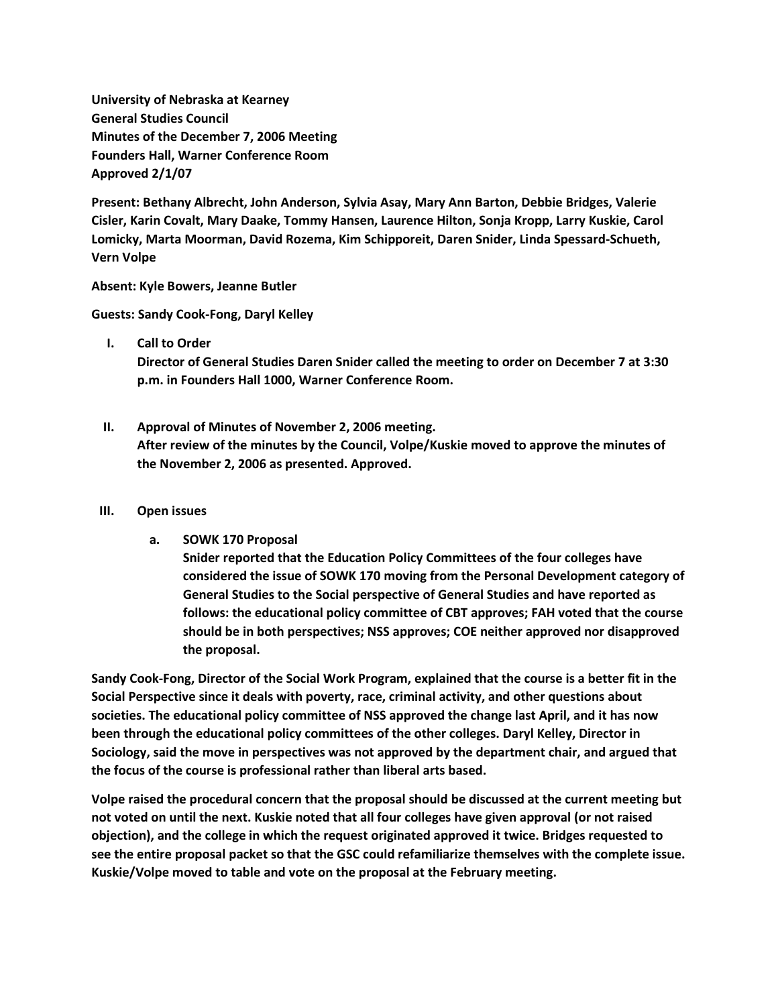**University of Nebraska at Kearney General Studies Council Minutes of the December 7, 2006 Meeting Founders Hall, Warner Conference Room Approved 2/1/07**

**Present: Bethany Albrecht, John Anderson, Sylvia Asay, Mary Ann Barton, Debbie Bridges, Valerie Cisler, Karin Covalt, Mary Daake, Tommy Hansen, Laurence Hilton, Sonja Kropp, Larry Kuskie, Carol Lomicky, Marta Moorman, David Rozema, Kim Schipporeit, Daren Snider, Linda Spessard-Schueth, Vern Volpe**

**Absent: Kyle Bowers, Jeanne Butler**

**Guests: Sandy Cook-Fong, Daryl Kelley**

**I. Call to Order**

**Director of General Studies Daren Snider called the meeting to order on December 7 at 3:30 p.m. in Founders Hall 1000, Warner Conference Room.**

**II. Approval of Minutes of November 2, 2006 meeting. After review of the minutes by the Council, Volpe/Kuskie moved to approve the minutes of the November 2, 2006 as presented. Approved.**

### **III. Open issues**

**a. SOWK 170 Proposal**

**Snider reported that the Education Policy Committees of the four colleges have considered the issue of SOWK 170 moving from the Personal Development category of General Studies to the Social perspective of General Studies and have reported as follows: the educational policy committee of CBT approves; FAH voted that the course should be in both perspectives; NSS approves; COE neither approved nor disapproved the proposal.** 

**Sandy Cook-Fong, Director of the Social Work Program, explained that the course is a better fit in the Social Perspective since it deals with poverty, race, criminal activity, and other questions about societies. The educational policy committee of NSS approved the change last April, and it has now been through the educational policy committees of the other colleges. Daryl Kelley, Director in Sociology, said the move in perspectives was not approved by the department chair, and argued that the focus of the course is professional rather than liberal arts based.**

**Volpe raised the procedural concern that the proposal should be discussed at the current meeting but not voted on until the next. Kuskie noted that all four colleges have given approval (or not raised objection), and the college in which the request originated approved it twice. Bridges requested to see the entire proposal packet so that the GSC could refamiliarize themselves with the complete issue. Kuskie/Volpe moved to table and vote on the proposal at the February meeting.**